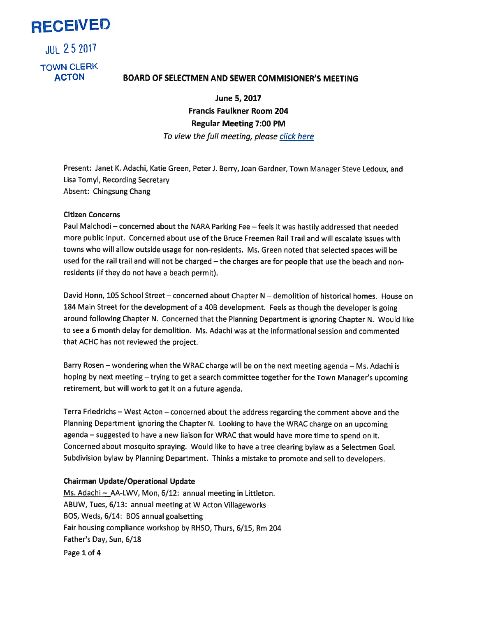RECEIVED

JUL25 2017 TOWN CLERK

# ACTON BOARD OF SELECTMEN AND SEWER COMMISIONER'S MEETING

June 5, 2017 Francis Faulkner Room 204 Regular Meeting 7:00 PM To view the full meeting, please click here

Present: Janet K. Adachi, Katie Green, Peter J. Berry, Joan Gardner, Town Manager Steve Ledoux, and Lisa Tomyl, Recording Secretary Absent: Chingsung Chang

## Citizen Concerns

Paul Malchodi — concerned about the NARA Parking Fee —feels it was hastily addressed that needed more public input. Concerned about use of the Bruce Freemen Rail Trail and will escalate issues with towns who will allow outside usage for non-residents. Ms. Green noted that selected spaces will be used for the rail trail and will not be charged — the charges are for people that use the beach and nonresidents (if they do not have <sup>a</sup> beach permit).

David Honn, 105 School Street — concerned about Chapter <sup>N</sup> — demolition of historical homes. House on <sup>184</sup> Main Street for the development of <sup>a</sup> 40B development. Feels as though the developer is going around following Chapter N. Concerned that the Planning Department is ignoring Chapter N. Would like to see <sup>a</sup> 6 month delay for demolition. Ms. Adachi was at the informational session and commented that ACHC has not reviewed the project.

Barry Rosen — wondering when the WRAC charge will be on the next meeting agenda — Ms. Adachi is hoping by next meeting — trying to ge<sup>t</sup> <sup>a</sup> search committee together for the Town Manager's upcoming retirement, but will work to ge<sup>t</sup> it on <sup>a</sup> future agenda.

Terra Friedrichs — West Acton — concerned about the address regarding the comment above and the Planning Department ignoring the Chapter N. Looking to have the WRAC charge on an upcoming agenda — suggested to have <sup>a</sup> new liaison for WRAC that would have more time to spen<sup>d</sup> on it. Concerned about mosquito spraying. Would like to have <sup>a</sup> tree clearing bylaw as <sup>a</sup> Selectmen Goal. Subdivision bylaw by Planning Department. Thinks <sup>a</sup> mistake to promote and sell to developers.

# Chairman Update/Operational Update

Ms. Adachi - AA-LWV, Mon, 6/12: annual meeting in Littleton. ABUW, Tues, 6/13: annual meeting at <sup>W</sup> Acton Villageworks BOS, Weds, 6/14: BOS annual goalsetting Fair housing compliance workshop by RHSO, Thurs, 6/15, Rm 204 Father's Day, Sun, 6/18 Page 1 of 4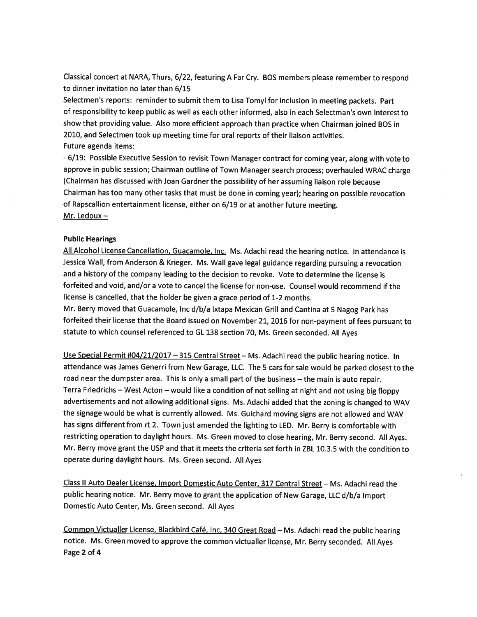Classical concert at NARA, Thurs, 6/22, featuring <sup>A</sup> Far Cry. BOS members <sup>p</sup>lease remember to respon<sup>d</sup> to dinner invitation no later than 6/15

Selectmen's reports: reminder to submit them to Lisa Tomyl for inclusion in meeting packets. Part of responsibility to keep public as well as each other informed, also in each Selectman's own interest to show that providing value. Also more efficient approac<sup>h</sup> than practice when Chairman joined BOS in 2010, and Selectmen took up meeting time for oral reports of their liaison activities. Future agenda items:

-6/19: Possible Executive Session to revisit Town Manager contract for coming year, along with vote to approve in public session; Chairman outline of Town Manager search process; overhauled WRAC charge (Chairman has discussed with Joan Gardner the possibility of her assuming liaison role because Chairman has too many other tasks that must be done in coming year); hearing on possible revocation of Rapscallion entertainment license, either on 6/19 or at another future meeting. Mr. Ledoux—

#### Public Hearings

All Alcohol License Cancellation, Guacamole, Inc. Ms. Adachi read the hearing notice. In attendance is Jessica Wall, from Anderson & Krieger. Ms. Wall gave legal guidance regarding pursuing <sup>a</sup> revocation and <sup>a</sup> history of the company leading to the decision to revoke. Vote to determine the license is forfeited and void, and/or <sup>a</sup> vote to cancel the license for non-use. Counsel would recommend if the license is cancelled, that the holder be <sup>g</sup>iven <sup>a</sup> grace period of 1-2 months.

Mr. Berry moved that Guacamole, Inc d/b/a Ixtapa Mexican Grill and Cantina at <sup>5</sup> Nagog Park has forfeited their license that the Board issued on November 21, <sup>2016</sup> for non-paymen<sup>t</sup> of fees pursuan<sup>t</sup> to statute to which counsel referenced to GL 138 section 70, Ms. Green seconded. All Ayes

Use Special Permit #04/21/2017 - 315 Central Street - Ms. Adachi read the public hearing notice. In attendance was James Generri from New Garage, LLC. The <sup>5</sup> cars for sale would be parked closest to the road near the dumpster area. This is only <sup>a</sup> small par<sup>t</sup> of the business — the main is auto repair. Terra Friedrichs — West Acton — would like <sup>a</sup> condition of not selling at night and not using big floppy advertisements and not allowing additional signs. Ms. Adachi added that the zoning is changed to WAV the signage would be what is currently allowed. Ms. Guichard moving signs are not allowed and WAV has signs different from rt 2. Town just amended the lighting to LED. Mr. Berry is comfortable with restricting operation to daylight hours. Ms. Green moved to close hearing, Mr. Berry second. All Ayes. Mr. Berry move gran<sup>t</sup> the USP and that it meets the criteria set forth in ZBL 10.3.5 with the condition to operate during daylight hours. Ms. Green second. All Ayes

Class II Auto Dealer License, Import Domestic Auto Center, <sup>317</sup> Central Street — Ms. Adachi read the public hearing notice. Mr. Berry move to gran<sup>t</sup> the application of New Garage, LLC d/b/a Import Domestic Auto Center, Ms. Green second. All Ayes

Common Victualler License, Blackbird Café, Inc. <sup>340</sup> Great Road — Ms. Adachi read the public hearing notice. Ms. Green moved to approve the common victualler license, Mr. Berry seconded. All Ayes Page 2 of 4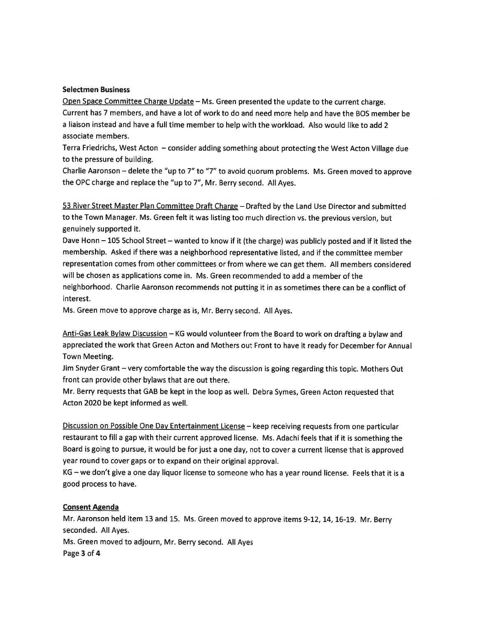## Selectmen Business

Open Space Committee Charge Update — Ms. Green presented the update to the current charge. Current has <sup>7</sup> members, and have <sup>a</sup> lot of work to do and need more help and have the BOS member be <sup>a</sup> liaison instead and have <sup>a</sup> full time member to help with the workload. Also would like to add 2 associate members.

Terra Friedrichs, West Acton — consider adding something about protecting the West Acton Village due to the pressure of building.

Charlie Aaronson — delete the "up to 7" to "7" to avoid quorum problems. Ms. Green moved to approve the OPC charge and replace the "up to 7", Mr. Berry second. All Ayes.

53 River Street Master Plan Committee Draft Charge - Drafted by the Land Use Director and submitted to the Town Manager. Ms. Green felt it was listing too much direction vs. the previous version, but genuinely supported it.

Dave Honn — <sup>105</sup> School Street — wanted to know if it (the charge) was publicly posted and if it listed the membership. Asked if there was <sup>a</sup> neighborhood representative listed, and if the committee member representation comes from other committees or from where we can ge<sup>t</sup> them. All members considered will be chosen as applications come in. Ms. Green recommended to add <sup>a</sup> member of the neighborhood. Charlie Aaronson recommends not putting it in as sometimes there can be <sup>a</sup> conflict of interest.

Ms. Green move to approve charge as is, Mr. Berry second. All Ayes.

Anti-Gas Leak Bylaw Discussion - KG would volunteer from the Board to work on drafting a bylaw and appreciated the work that Green Acton and Mothers out Front to have it ready for December for Annual Town Meeting.

Jim Snyder Grant — very comfortable the way the discussion is going regarding this topic. Mothers Out front can provide other bylaws that are out there.

Mr. Berry requests that GAB be kept in the loop as well. Debra Symes, Green Acton requested that Acton 2020 be kept informed as well.

Discussion on Possible One Day Entertainment License — keep receiving requests from one particular restaurant to fill <sup>a</sup> gap with their current approve<sup>d</sup> license. Ms. Adachi feels that if it is something the Board is going to pursue, it would be for just <sup>a</sup> one day, not to cover <sup>a</sup> current license that is approve<sup>d</sup> year round to cover gaps or to expand on their original approval.

KG — we don't <sup>g</sup>ive <sup>a</sup> one day liquor license to someone who has <sup>a</sup> year round license. Feels that it is <sup>a</sup> good process to have.

# Consent Agenda

Mr. Aaronson held item <sup>13</sup> and 15. Ms. Green moved to approve items 9-12, 14, 16-19. Mr. Berry seconded. All Ayes. Ms. Green moved to adjourn, Mr. Berry second. All Ayes

Page 3 of 4